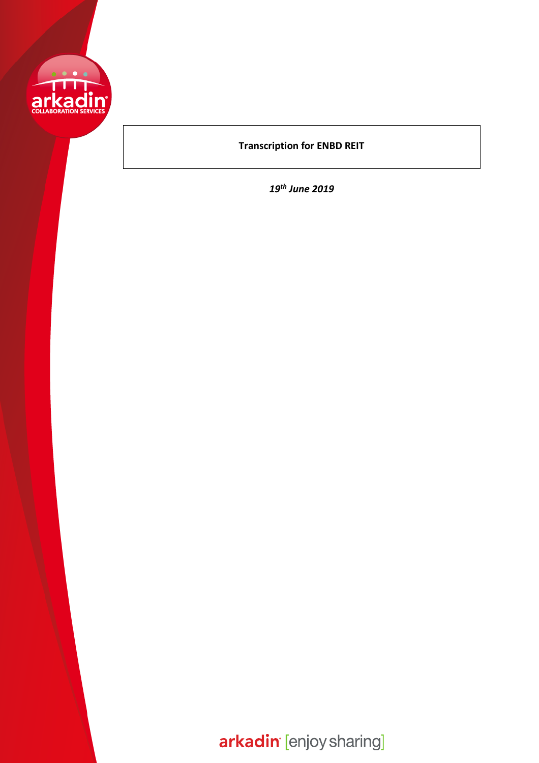

## **Transcription for ENBD REIT**

*19th June 2019*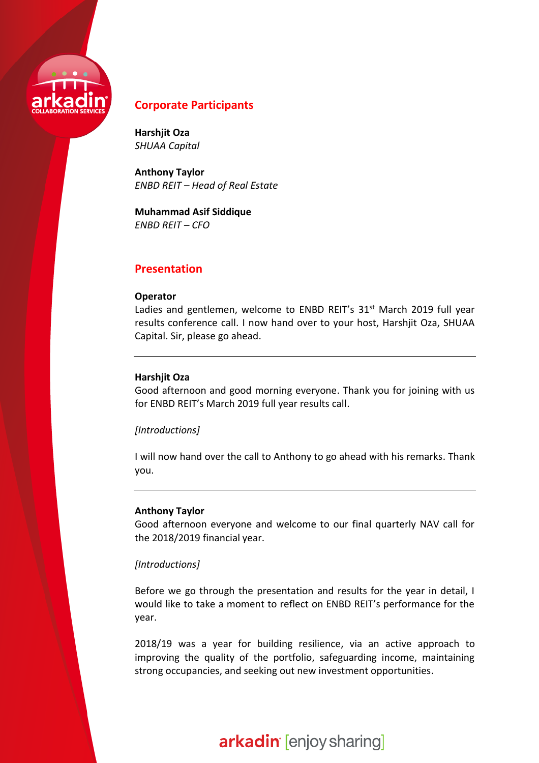

## **Corporate Participants**

**Harshjit Oza** *SHUAA Capital*

**Anthony Taylor** *ENBD REIT – Head of Real Estate*

**Muhammad Asif Siddique** *ENBD REIT – CFO*

## **Presentation**

### **Operator**

Ladies and gentlemen, welcome to ENBD REIT's  $31<sup>st</sup>$  March 2019 full year results conference call. I now hand over to your host, Harshjit Oza, SHUAA Capital. Sir, please go ahead.

## **Harshjit Oza**

Good afternoon and good morning everyone. Thank you for joining with us for ENBD REIT's March 2019 full year results call.

### *[Introductions]*

I will now hand over the call to Anthony to go ahead with his remarks. Thank you.

### **Anthony Taylor**

Good afternoon everyone and welcome to our final quarterly NAV call for the 2018/2019 financial year.

## *[Introductions]*

Before we go through the presentation and results for the year in detail, I would like to take a moment to reflect on ENBD REIT's performance for the year.

2018/19 was a year for building resilience, via an active approach to improving the quality of the portfolio, safeguarding income, maintaining strong occupancies, and seeking out new investment opportunities.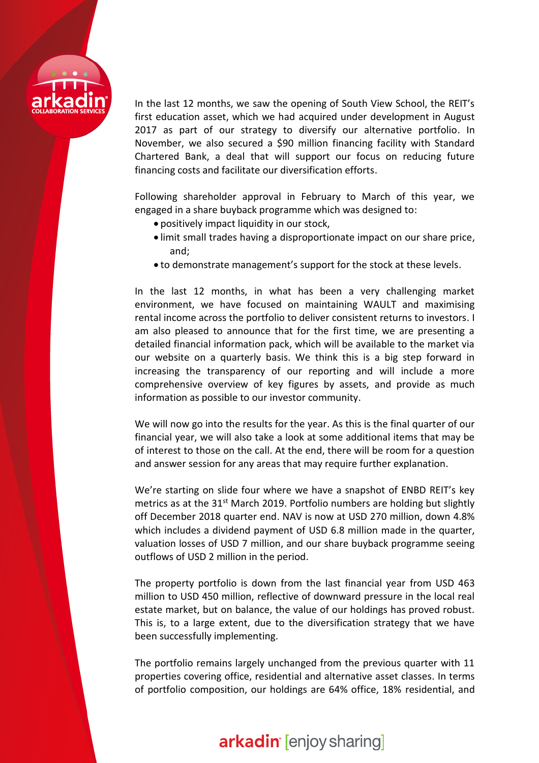

In the last 12 months, we saw the opening of South View School, the REIT's first education asset, which we had acquired under development in August 2017 as part of our strategy to diversify our alternative portfolio. In November, we also secured a \$90 million financing facility with Standard Chartered Bank, a deal that will support our focus on reducing future financing costs and facilitate our diversification efforts.

Following shareholder approval in February to March of this year, we engaged in a share buyback programme which was designed to:

- positively impact liquidity in our stock,
- limit small trades having a disproportionate impact on our share price, and;
- to demonstrate management's support for the stock at these levels.

In the last 12 months, in what has been a very challenging market environment, we have focused on maintaining WAULT and maximising rental income across the portfolio to deliver consistent returns to investors. I am also pleased to announce that for the first time, we are presenting a detailed financial information pack, which will be available to the market via our website on a quarterly basis. We think this is a big step forward in increasing the transparency of our reporting and will include a more comprehensive overview of key figures by assets, and provide as much information as possible to our investor community.

We will now go into the results for the year. As this is the final quarter of our financial year, we will also take a look at some additional items that may be of interest to those on the call. At the end, there will be room for a question and answer session for any areas that may require further explanation.

We're starting on slide four where we have a snapshot of ENBD REIT's key metrics as at the  $31<sup>st</sup>$  March 2019. Portfolio numbers are holding but slightly off December 2018 quarter end. NAV is now at USD 270 million, down 4.8% which includes a dividend payment of USD 6.8 million made in the quarter, valuation losses of USD 7 million, and our share buyback programme seeing outflows of USD 2 million in the period.

The property portfolio is down from the last financial year from USD 463 million to USD 450 million, reflective of downward pressure in the local real estate market, but on balance, the value of our holdings has proved robust. This is, to a large extent, due to the diversification strategy that we have been successfully implementing.

The portfolio remains largely unchanged from the previous quarter with 11 properties covering office, residential and alternative asset classes. In terms of portfolio composition, our holdings are 64% office, 18% residential, and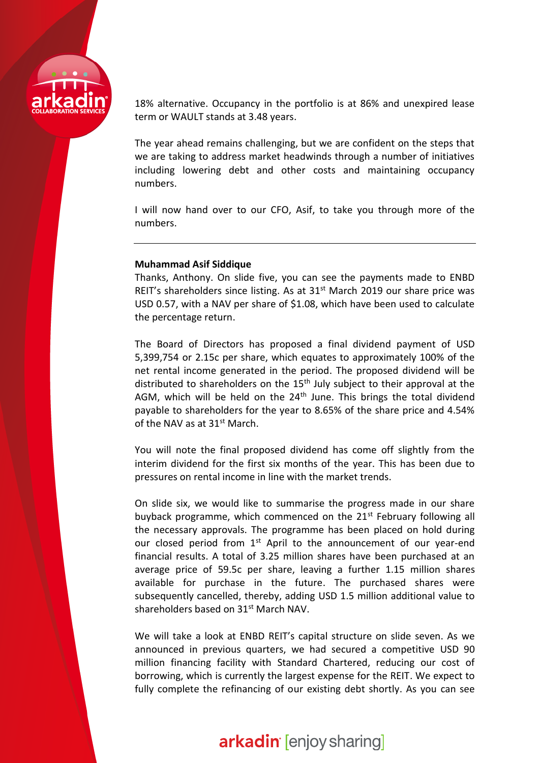

18% alternative. Occupancy in the portfolio is at 86% and unexpired lease term or WAULT stands at 3.48 years.

The year ahead remains challenging, but we are confident on the steps that we are taking to address market headwinds through a number of initiatives including lowering debt and other costs and maintaining occupancy numbers.

I will now hand over to our CFO, Asif, to take you through more of the numbers.

### **Muhammad Asif Siddique**

Thanks, Anthony. On slide five, you can see the payments made to ENBD REIT's shareholders since listing. As at  $31<sup>st</sup>$  March 2019 our share price was USD 0.57, with a NAV per share of \$1.08, which have been used to calculate the percentage return.

The Board of Directors has proposed a final dividend payment of USD 5,399,754 or 2.15c per share, which equates to approximately 100% of the net rental income generated in the period. The proposed dividend will be distributed to shareholders on the  $15<sup>th</sup>$  July subject to their approval at the AGM, which will be held on the 24<sup>th</sup> June. This brings the total dividend payable to shareholders for the year to 8.65% of the share price and 4.54% of the NAV as at 31<sup>st</sup> March.

You will note the final proposed dividend has come off slightly from the interim dividend for the first six months of the year. This has been due to pressures on rental income in line with the market trends.

On slide six, we would like to summarise the progress made in our share buyback programme, which commenced on the  $21<sup>st</sup>$  February following all the necessary approvals. The programme has been placed on hold during our closed period from 1<sup>st</sup> April to the announcement of our year-end financial results. A total of 3.25 million shares have been purchased at an average price of 59.5c per share, leaving a further 1.15 million shares available for purchase in the future. The purchased shares were subsequently cancelled, thereby, adding USD 1.5 million additional value to shareholders based on 31<sup>st</sup> March NAV.

We will take a look at ENBD REIT's capital structure on slide seven. As we announced in previous quarters, we had secured a competitive USD 90 million financing facility with Standard Chartered, reducing our cost of borrowing, which is currently the largest expense for the REIT. We expect to fully complete the refinancing of our existing debt shortly. As you can see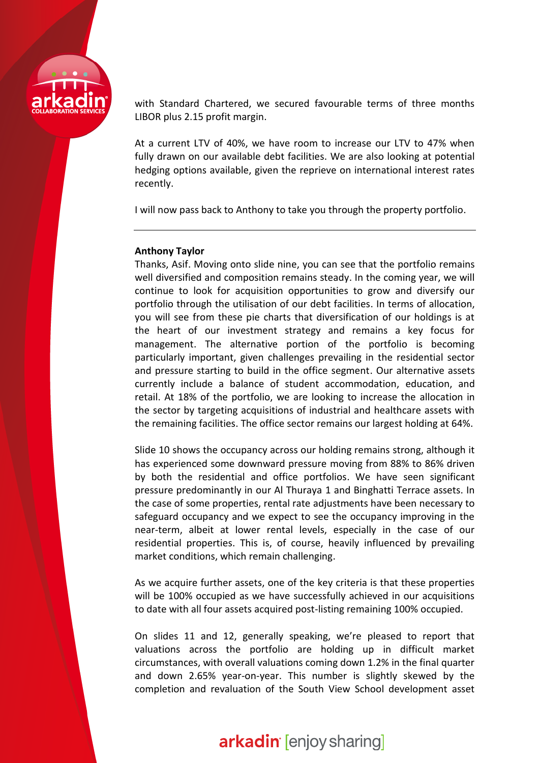

with Standard Chartered, we secured favourable terms of three months LIBOR plus 2.15 profit margin.

At a current LTV of 40%, we have room to increase our LTV to 47% when fully drawn on our available debt facilities. We are also looking at potential hedging options available, given the reprieve on international interest rates recently.

I will now pass back to Anthony to take you through the property portfolio.

### **Anthony Taylor**

Thanks, Asif. Moving onto slide nine, you can see that the portfolio remains well diversified and composition remains steady. In the coming year, we will continue to look for acquisition opportunities to grow and diversify our portfolio through the utilisation of our debt facilities. In terms of allocation, you will see from these pie charts that diversification of our holdings is at the heart of our investment strategy and remains a key focus for management. The alternative portion of the portfolio is becoming particularly important, given challenges prevailing in the residential sector and pressure starting to build in the office segment. Our alternative assets currently include a balance of student accommodation, education, and retail. At 18% of the portfolio, we are looking to increase the allocation in the sector by targeting acquisitions of industrial and healthcare assets with the remaining facilities. The office sector remains our largest holding at 64%.

Slide 10 shows the occupancy across our holding remains strong, although it has experienced some downward pressure moving from 88% to 86% driven by both the residential and office portfolios. We have seen significant pressure predominantly in our Al Thuraya 1 and Binghatti Terrace assets. In the case of some properties, rental rate adjustments have been necessary to safeguard occupancy and we expect to see the occupancy improving in the near-term, albeit at lower rental levels, especially in the case of our residential properties. This is, of course, heavily influenced by prevailing market conditions, which remain challenging.

As we acquire further assets, one of the key criteria is that these properties will be 100% occupied as we have successfully achieved in our acquisitions to date with all four assets acquired post-listing remaining 100% occupied.

On slides 11 and 12, generally speaking, we're pleased to report that valuations across the portfolio are holding up in difficult market circumstances, with overall valuations coming down 1.2% in the final quarter and down 2.65% year-on-year. This number is slightly skewed by the completion and revaluation of the South View School development asset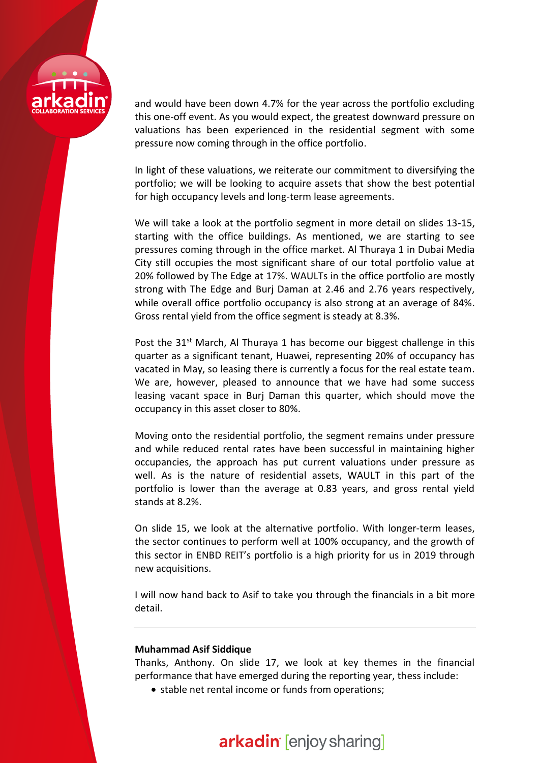

and would have been down 4.7% for the year across the portfolio excluding this one-off event. As you would expect, the greatest downward pressure on valuations has been experienced in the residential segment with some pressure now coming through in the office portfolio.

In light of these valuations, we reiterate our commitment to diversifying the portfolio; we will be looking to acquire assets that show the best potential for high occupancy levels and long-term lease agreements.

We will take a look at the portfolio segment in more detail on slides 13-15, starting with the office buildings. As mentioned, we are starting to see pressures coming through in the office market. Al Thuraya 1 in Dubai Media City still occupies the most significant share of our total portfolio value at 20% followed by The Edge at 17%. WAULTs in the office portfolio are mostly strong with The Edge and Burj Daman at 2.46 and 2.76 years respectively, while overall office portfolio occupancy is also strong at an average of 84%. Gross rental yield from the office segment is steady at 8.3%.

Post the  $31<sup>st</sup>$  March, Al Thuraya 1 has become our biggest challenge in this quarter as a significant tenant, Huawei, representing 20% of occupancy has vacated in May, so leasing there is currently a focus for the real estate team. We are, however, pleased to announce that we have had some success leasing vacant space in Burj Daman this quarter, which should move the occupancy in this asset closer to 80%.

Moving onto the residential portfolio, the segment remains under pressure and while reduced rental rates have been successful in maintaining higher occupancies, the approach has put current valuations under pressure as well. As is the nature of residential assets, WAULT in this part of the portfolio is lower than the average at 0.83 years, and gross rental yield stands at 8.2%.

On slide 15, we look at the alternative portfolio. With longer-term leases, the sector continues to perform well at 100% occupancy, and the growth of this sector in ENBD REIT's portfolio is a high priority for us in 2019 through new acquisitions.

I will now hand back to Asif to take you through the financials in a bit more detail.

### **Muhammad Asif Siddique**

Thanks, Anthony. On slide 17, we look at key themes in the financial performance that have emerged during the reporting year, thess include:

• stable net rental income or funds from operations;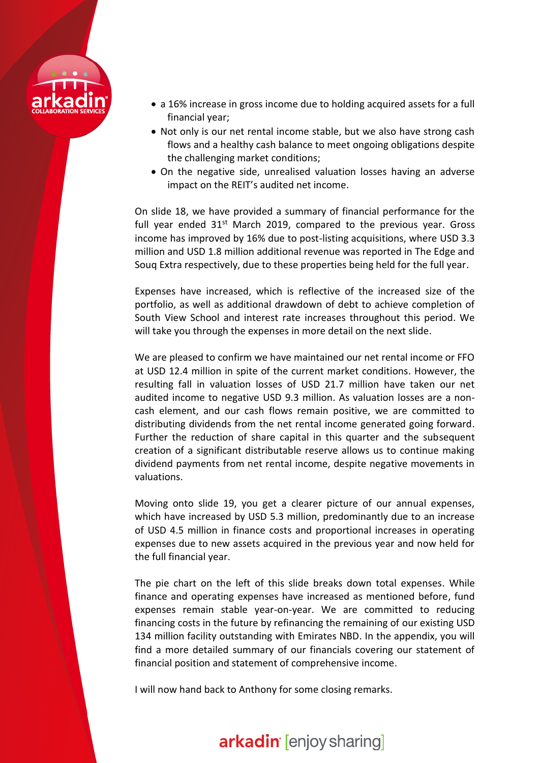

- a 16% increase in gross income due to holding acquired assets for a full financial year;
- Not only is our net rental income stable, but we also have strong cash flows and a healthy cash balance to meet ongoing obligations despite the challenging market conditions;
- On the negative side, unrealised valuation losses having an adverse impact on the REIT's audited net income.

On slide 18, we have provided a summary of financial performance for the full year ended  $31<sup>st</sup>$  March 2019, compared to the previous year. Gross income has improved by 16% due to post-listing acquisitions, where USD 3.3 million and USD 1.8 million additional revenue was reported in The Edge and Souq Extra respectively, due to these properties being held for the full year.

Expenses have increased, which is reflective of the increased size of the portfolio, as well as additional drawdown of debt to achieve completion of South View School and interest rate increases throughout this period. We will take you through the expenses in more detail on the next slide.

We are pleased to confirm we have maintained our net rental income or FFO at USD 12.4 million in spite of the current market conditions. However, the resulting fall in valuation losses of USD 21.7 million have taken our net audited income to negative USD 9.3 million. As valuation losses are a noncash element, and our cash flows remain positive, we are committed to distributing dividends from the net rental income generated going forward. Further the reduction of share capital in this quarter and the subsequent creation of a significant distributable reserve allows us to continue making dividend payments from net rental income, despite negative movements in valuations.

Moving onto slide 19, you get a clearer picture of our annual expenses, which have increased by USD 5.3 million, predominantly due to an increase of USD 4.5 million in finance costs and proportional increases in operating expenses due to new assets acquired in the previous year and now held for the full financial year.

The pie chart on the left of this slide breaks down total expenses. While finance and operating expenses have increased as mentioned before, fund expenses remain stable year-on-year. We are committed to reducing financing costs in the future by refinancing the remaining of our existing USD 134 million facility outstanding with Emirates NBD. In the appendix, you will find a more detailed summary of our financials covering our statement of financial position and statement of comprehensive income.

I will now hand back to Anthony for some closing remarks.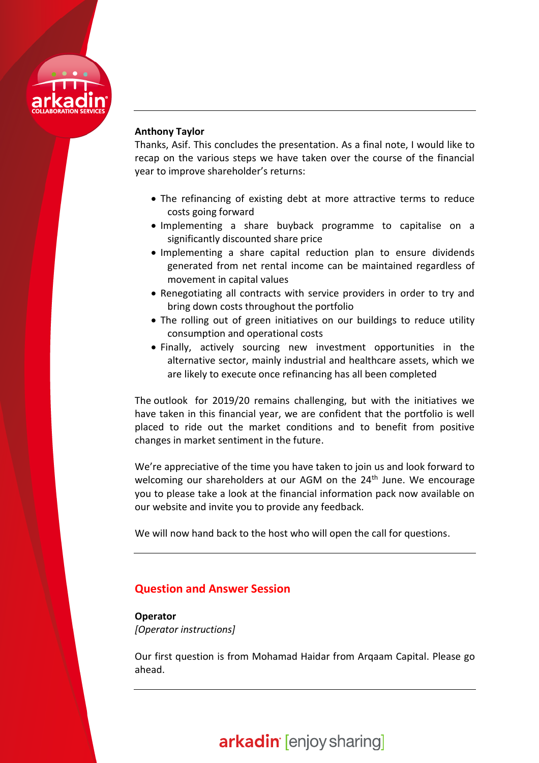

## **Anthony Taylor**

Thanks, Asif. This concludes the presentation. As a final note, I would like to recap on the various steps we have taken over the course of the financial year to improve shareholder's returns:

- The refinancing of existing debt at more attractive terms to reduce costs going forward
- Implementing a share buyback programme to capitalise on a significantly discounted share price
- Implementing a share capital reduction plan to ensure dividends generated from net rental income can be maintained regardless of movement in capital values
- Renegotiating all contracts with service providers in order to try and bring down costs throughout the portfolio
- The rolling out of green initiatives on our buildings to reduce utility consumption and operational costs
- Finally, actively sourcing new investment opportunities in the alternative sector, mainly industrial and healthcare assets, which we are likely to execute once refinancing has all been completed

The outlook for 2019/20 remains challenging, but with the initiatives we have taken in this financial year, we are confident that the portfolio is well placed to ride out the market conditions and to benefit from positive changes in market sentiment in the future.

We're appreciative of the time you have taken to join us and look forward to welcoming our shareholders at our AGM on the  $24<sup>th</sup>$  June. We encourage you to please take a look at the financial information pack now available on our website and invite you to provide any feedback.

We will now hand back to the host who will open the call for questions.

## **Question and Answer Session**

**Operator** *[Operator instructions]*

Our first question is from Mohamad Haidar from Arqaam Capital. Please go ahead.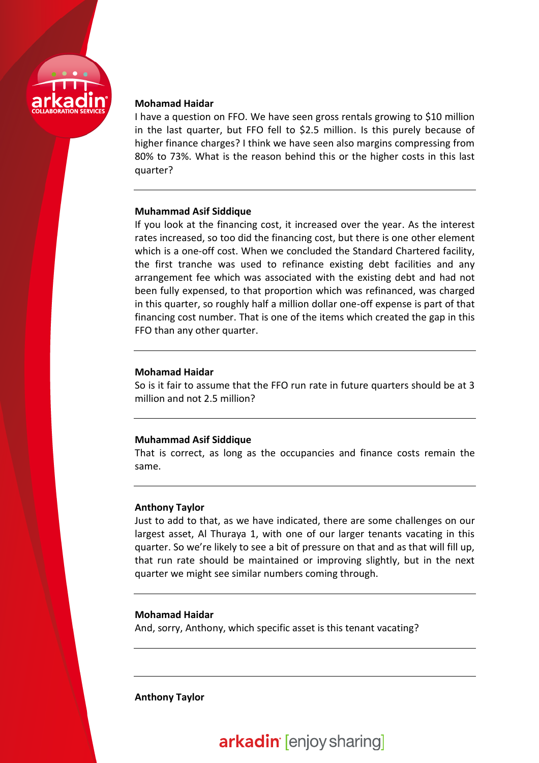

### **Mohamad Haidar**

I have a question on FFO. We have seen gross rentals growing to \$10 million in the last quarter, but FFO fell to \$2.5 million. Is this purely because of higher finance charges? I think we have seen also margins compressing from 80% to 73%. What is the reason behind this or the higher costs in this last quarter?

### **Muhammad Asif Siddique**

If you look at the financing cost, it increased over the year. As the interest rates increased, so too did the financing cost, but there is one other element which is a one-off cost. When we concluded the Standard Chartered facility, the first tranche was used to refinance existing debt facilities and any arrangement fee which was associated with the existing debt and had not been fully expensed, to that proportion which was refinanced, was charged in this quarter, so roughly half a million dollar one-off expense is part of that financing cost number. That is one of the items which created the gap in this FFO than any other quarter.

### **Mohamad Haidar**

So is it fair to assume that the FFO run rate in future quarters should be at 3 million and not 2.5 million?

## **Muhammad Asif Siddique**

That is correct, as long as the occupancies and finance costs remain the same.

## **Anthony Taylor**

Just to add to that, as we have indicated, there are some challenges on our largest asset, Al Thuraya 1, with one of our larger tenants vacating in this quarter. So we're likely to see a bit of pressure on that and as that will fill up, that run rate should be maintained or improving slightly, but in the next quarter we might see similar numbers coming through.

## **Mohamad Haidar**

And, sorry, Anthony, which specific asset is this tenant vacating?

**Anthony Taylor**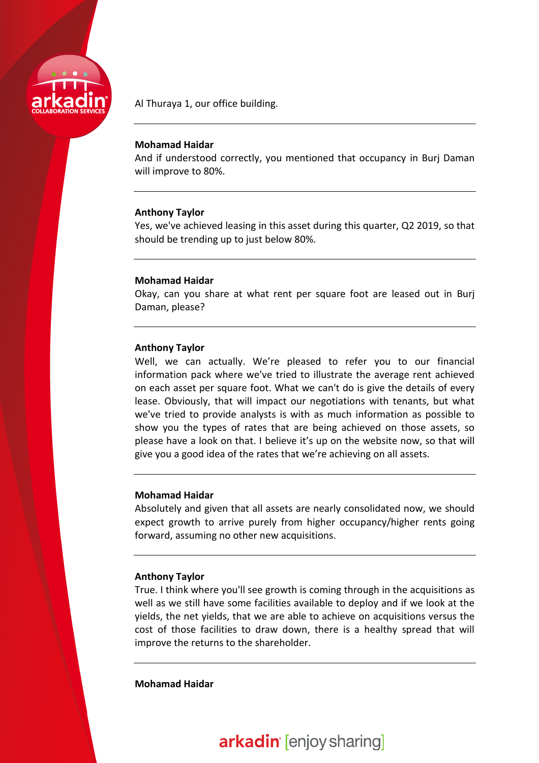

Al Thuraya 1, our office building.

### **Mohamad Haidar**

And if understood correctly, you mentioned that occupancy in Burj Daman will improve to 80%.

### **Anthony Taylor**

Yes, we've achieved leasing in this asset during this quarter, Q2 2019, so that should be trending up to just below 80%.

### **Mohamad Haidar**

Okay, can you share at what rent per square foot are leased out in Burj Daman, please?

### **Anthony Taylor**

Well, we can actually. We're pleased to refer you to our financial information pack where we've tried to illustrate the average rent achieved on each asset per square foot. What we can't do is give the details of every lease. Obviously, that will impact our negotiations with tenants, but what we've tried to provide analysts is with as much information as possible to show you the types of rates that are being achieved on those assets, so please have a look on that. I believe it's up on the website now, so that will give you a good idea of the rates that we're achieving on all assets.

### **Mohamad Haidar**

Absolutely and given that all assets are nearly consolidated now, we should expect growth to arrive purely from higher occupancy/higher rents going forward, assuming no other new acquisitions.

### **Anthony Taylor**

True. I think where you'll see growth is coming through in the acquisitions as well as we still have some facilities available to deploy and if we look at the yields, the net yields, that we are able to achieve on acquisitions versus the cost of those facilities to draw down, there is a healthy spread that will improve the returns to the shareholder.

## **Mohamad Haidar**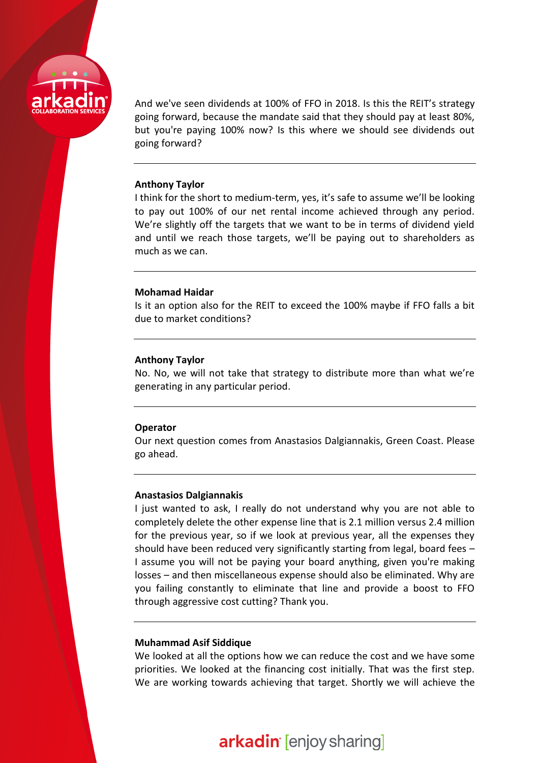

And we've seen dividends at 100% of FFO in 2018. Is this the REIT's strategy going forward, because the mandate said that they should pay at least 80%, but you're paying 100% now? Is this where we should see dividends out going forward?

#### **Anthony Taylor**

I think for the short to medium-term, yes, it's safe to assume we'll be looking to pay out 100% of our net rental income achieved through any period. We're slightly off the targets that we want to be in terms of dividend yield and until we reach those targets, we'll be paying out to shareholders as much as we can.

#### **Mohamad Haidar**

Is it an option also for the REIT to exceed the 100% maybe if FFO falls a bit due to market conditions?

#### **Anthony Taylor**

No. No, we will not take that strategy to distribute more than what we're generating in any particular period.

#### **Operator**

Our next question comes from Anastasios Dalgiannakis, Green Coast. Please go ahead.

#### **Anastasios Dalgiannakis**

I just wanted to ask, I really do not understand why you are not able to completely delete the other expense line that is 2.1 million versus 2.4 million for the previous year, so if we look at previous year, all the expenses they should have been reduced very significantly starting from legal, board fees – I assume you will not be paying your board anything, given you're making losses – and then miscellaneous expense should also be eliminated. Why are you failing constantly to eliminate that line and provide a boost to FFO through aggressive cost cutting? Thank you.

#### **Muhammad Asif Siddique**

We looked at all the options how we can reduce the cost and we have some priorities. We looked at the financing cost initially. That was the first step. We are working towards achieving that target. Shortly we will achieve the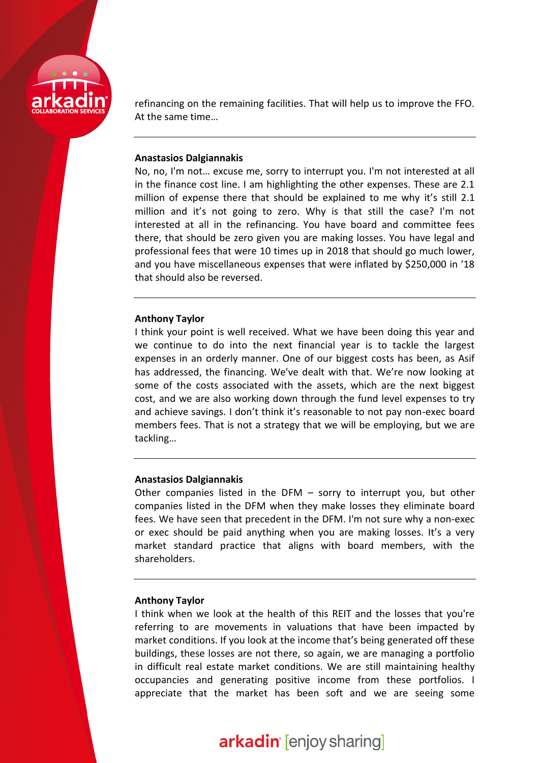

refinancing on the remaining facilities. That will help us to improve the FFO. At the same time…

### **Anastasios Dalgiannakis**

No, no, I'm not… excuse me, sorry to interrupt you. I'm not interested at all in the finance cost line. I am highlighting the other expenses. These are 2.1 million of expense there that should be explained to me why it's still 2.1 million and it's not going to zero. Why is that still the case? I'm not interested at all in the refinancing. You have board and committee fees there, that should be zero given you are making losses. You have legal and professional fees that were 10 times up in 2018 that should go much lower, and you have miscellaneous expenses that were inflated by \$250,000 in '18 that should also be reversed.

#### **Anthony Taylor**

I think your point is well received. What we have been doing this year and we continue to do into the next financial year is to tackle the largest expenses in an orderly manner. One of our biggest costs has been, as Asif has addressed, the financing. We've dealt with that. We're now looking at some of the costs associated with the assets, which are the next biggest cost, and we are also working down through the fund level expenses to try and achieve savings. I don't think it's reasonable to not pay non-exec board members fees. That is not a strategy that we will be employing, but we are tackling…

#### **Anastasios Dalgiannakis**

Other companies listed in the DFM – sorry to interrupt you, but other companies listed in the DFM when they make losses they eliminate board fees. We have seen that precedent in the DFM. I'm not sure why a non-exec or exec should be paid anything when you are making losses. It's a very market standard practice that aligns with board members, with the shareholders.

### **Anthony Taylor**

I think when we look at the health of this REIT and the losses that you're referring to are movements in valuations that have been impacted by market conditions. If you look at the income that's being generated off these buildings, these losses are not there, so again, we are managing a portfolio in difficult real estate market conditions. We are still maintaining healthy occupancies and generating positive income from these portfolios. I appreciate that the market has been soft and we are seeing some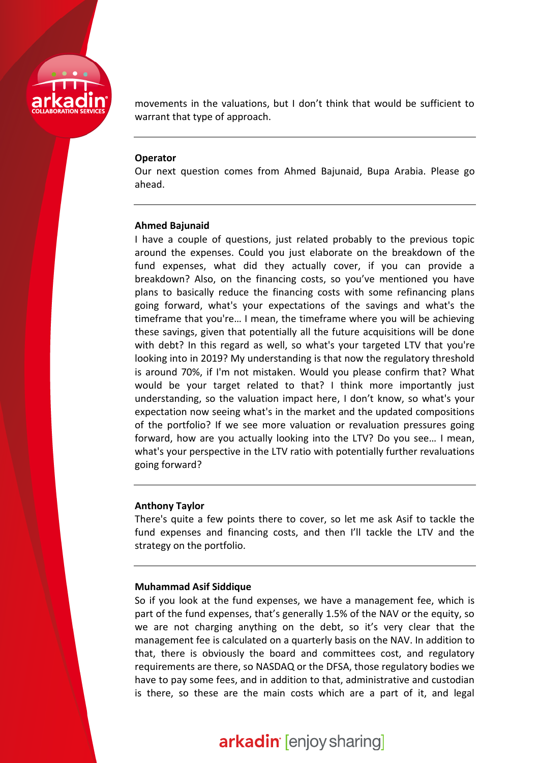

movements in the valuations, but I don't think that would be sufficient to warrant that type of approach.

#### **Operator**

Our next question comes from Ahmed Bajunaid, Bupa Arabia. Please go ahead.

### **Ahmed Bajunaid**

I have a couple of questions, just related probably to the previous topic around the expenses. Could you just elaborate on the breakdown of the fund expenses, what did they actually cover, if you can provide a breakdown? Also, on the financing costs, so you've mentioned you have plans to basically reduce the financing costs with some refinancing plans going forward, what's your expectations of the savings and what's the timeframe that you're… I mean, the timeframe where you will be achieving these savings, given that potentially all the future acquisitions will be done with debt? In this regard as well, so what's your targeted LTV that you're looking into in 2019? My understanding is that now the regulatory threshold is around 70%, if I'm not mistaken. Would you please confirm that? What would be your target related to that? I think more importantly just understanding, so the valuation impact here, I don't know, so what's your expectation now seeing what's in the market and the updated compositions of the portfolio? If we see more valuation or revaluation pressures going forward, how are you actually looking into the LTV? Do you see… I mean, what's your perspective in the LTV ratio with potentially further revaluations going forward?

### **Anthony Taylor**

There's quite a few points there to cover, so let me ask Asif to tackle the fund expenses and financing costs, and then I'll tackle the LTV and the strategy on the portfolio.

### **Muhammad Asif Siddique**

So if you look at the fund expenses, we have a management fee, which is part of the fund expenses, that's generally 1.5% of the NAV or the equity, so we are not charging anything on the debt, so it's very clear that the management fee is calculated on a quarterly basis on the NAV. In addition to that, there is obviously the board and committees cost, and regulatory requirements are there, so NASDAQ or the DFSA, those regulatory bodies we have to pay some fees, and in addition to that, administrative and custodian is there, so these are the main costs which are a part of it, and legal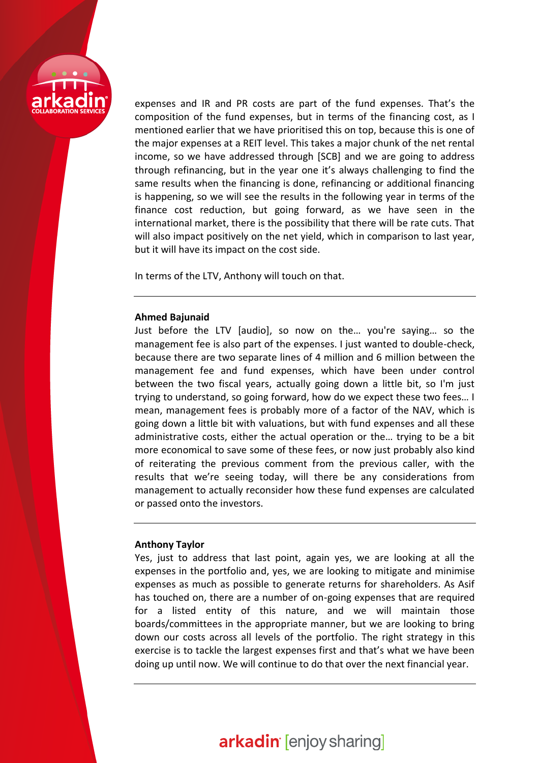

expenses and IR and PR costs are part of the fund expenses. That's the composition of the fund expenses, but in terms of the financing cost, as I mentioned earlier that we have prioritised this on top, because this is one of the major expenses at a REIT level. This takes a major chunk of the net rental income, so we have addressed through [SCB] and we are going to address through refinancing, but in the year one it's always challenging to find the same results when the financing is done, refinancing or additional financing is happening, so we will see the results in the following year in terms of the finance cost reduction, but going forward, as we have seen in the international market, there is the possibility that there will be rate cuts. That will also impact positively on the net yield, which in comparison to last year, but it will have its impact on the cost side.

In terms of the LTV, Anthony will touch on that.

### **Ahmed Bajunaid**

Just before the LTV [audio], so now on the… you're saying… so the management fee is also part of the expenses. I just wanted to double-check, because there are two separate lines of 4 million and 6 million between the management fee and fund expenses, which have been under control between the two fiscal years, actually going down a little bit, so I'm just trying to understand, so going forward, how do we expect these two fees… I mean, management fees is probably more of a factor of the NAV, which is going down a little bit with valuations, but with fund expenses and all these administrative costs, either the actual operation or the… trying to be a bit more economical to save some of these fees, or now just probably also kind of reiterating the previous comment from the previous caller, with the results that we're seeing today, will there be any considerations from management to actually reconsider how these fund expenses are calculated or passed onto the investors.

### **Anthony Taylor**

Yes, just to address that last point, again yes, we are looking at all the expenses in the portfolio and, yes, we are looking to mitigate and minimise expenses as much as possible to generate returns for shareholders. As Asif has touched on, there are a number of on-going expenses that are required for a listed entity of this nature, and we will maintain those boards/committees in the appropriate manner, but we are looking to bring down our costs across all levels of the portfolio. The right strategy in this exercise is to tackle the largest expenses first and that's what we have been doing up until now. We will continue to do that over the next financial year.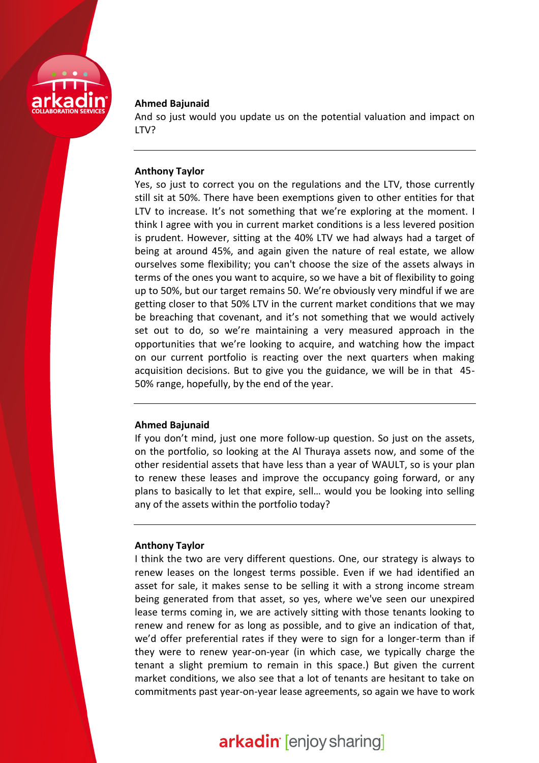

### **Ahmed Bajunaid**

And so just would you update us on the potential valuation and impact on LTV?

### **Anthony Taylor**

Yes, so just to correct you on the regulations and the LTV, those currently still sit at 50%. There have been exemptions given to other entities for that LTV to increase. It's not something that we're exploring at the moment. I think I agree with you in current market conditions is a less levered position is prudent. However, sitting at the 40% LTV we had always had a target of being at around 45%, and again given the nature of real estate, we allow ourselves some flexibility; you can't choose the size of the assets always in terms of the ones you want to acquire, so we have a bit of flexibility to going up to 50%, but our target remains 50. We're obviously very mindful if we are getting closer to that 50% LTV in the current market conditions that we may be breaching that covenant, and it's not something that we would actively set out to do, so we're maintaining a very measured approach in the opportunities that we're looking to acquire, and watching how the impact on our current portfolio is reacting over the next quarters when making acquisition decisions. But to give you the guidance, we will be in that 45- 50% range, hopefully, by the end of the year.

### **Ahmed Bajunaid**

If you don't mind, just one more follow-up question. So just on the assets, on the portfolio, so looking at the Al Thuraya assets now, and some of the other residential assets that have less than a year of WAULT, so is your plan to renew these leases and improve the occupancy going forward, or any plans to basically to let that expire, sell… would you be looking into selling any of the assets within the portfolio today?

## **Anthony Taylor**

I think the two are very different questions. One, our strategy is always to renew leases on the longest terms possible. Even if we had identified an asset for sale, it makes sense to be selling it with a strong income stream being generated from that asset, so yes, where we've seen our unexpired lease terms coming in, we are actively sitting with those tenants looking to renew and renew for as long as possible, and to give an indication of that, we'd offer preferential rates if they were to sign for a longer-term than if they were to renew year-on-year (in which case, we typically charge the tenant a slight premium to remain in this space.) But given the current market conditions, we also see that a lot of tenants are hesitant to take on commitments past year-on-year lease agreements, so again we have to work